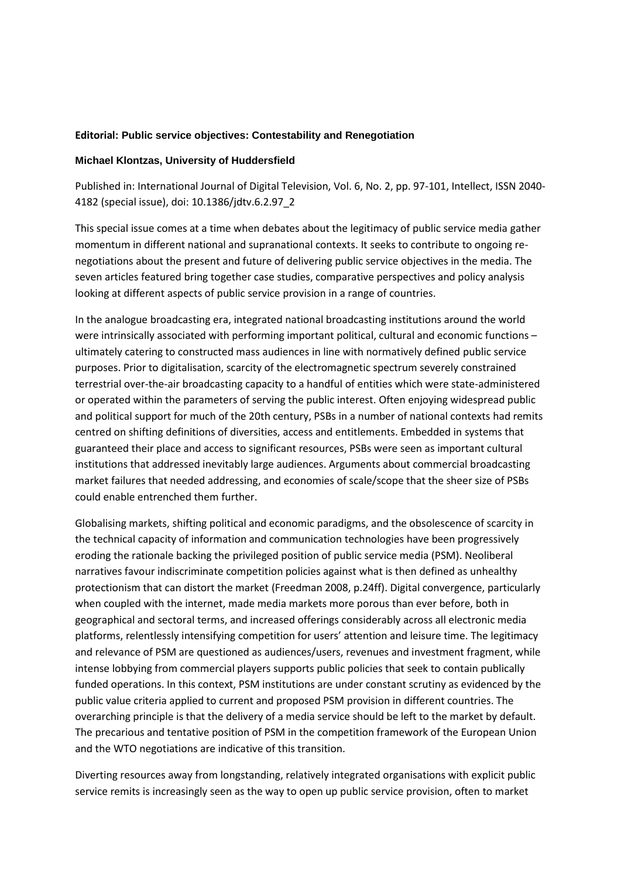## **Editorial: Public service objectives: Contestability and Renegotiation**

## **Michael Klontzas, University of Huddersfield**

Published in: International Journal of Digital Television, Vol. 6, No. 2, pp. 97-101, Intellect, ISSN 2040- 4182 (special issue), doi: 10.1386/jdtv.6.2.97\_2

This special issue comes at a time when debates about the legitimacy of public service media gather momentum in different national and supranational contexts. It seeks to contribute to ongoing renegotiations about the present and future of delivering public service objectives in the media. The seven articles featured bring together case studies, comparative perspectives and policy analysis looking at different aspects of public service provision in a range of countries.

In the analogue broadcasting era, integrated national broadcasting institutions around the world were intrinsically associated with performing important political, cultural and economic functions ultimately catering to constructed mass audiences in line with normatively defined public service purposes. Prior to digitalisation, scarcity of the electromagnetic spectrum severely constrained terrestrial over-the-air broadcasting capacity to a handful of entities which were state-administered or operated within the parameters of serving the public interest. Often enjoying widespread public and political support for much of the 20th century, PSBs in a number of national contexts had remits centred on shifting definitions of diversities, access and entitlements. Embedded in systems that guaranteed their place and access to significant resources, PSBs were seen as important cultural institutions that addressed inevitably large audiences. Arguments about commercial broadcasting market failures that needed addressing, and economies of scale/scope that the sheer size of PSBs could enable entrenched them further.

Globalising markets, shifting political and economic paradigms, and the obsolescence of scarcity in the technical capacity of information and communication technologies have been progressively eroding the rationale backing the privileged position of public service media (PSM). Neoliberal narratives favour indiscriminate competition policies against what is then defined as unhealthy protectionism that can distort the market (Freedman 2008, p.24ff). Digital convergence, particularly when coupled with the internet, made media markets more porous than ever before, both in geographical and sectoral terms, and increased offerings considerably across all electronic media platforms, relentlessly intensifying competition for users' attention and leisure time. The legitimacy and relevance of PSM are questioned as audiences/users, revenues and investment fragment, while intense lobbying from commercial players supports public policies that seek to contain publically funded operations. In this context, PSM institutions are under constant scrutiny as evidenced by the public value criteria applied to current and proposed PSM provision in different countries. The overarching principle is that the delivery of a media service should be left to the market by default. The precarious and tentative position of PSM in the competition framework of the European Union and the WTO negotiations are indicative of this transition.

Diverting resources away from longstanding, relatively integrated organisations with explicit public service remits is increasingly seen as the way to open up public service provision, often to market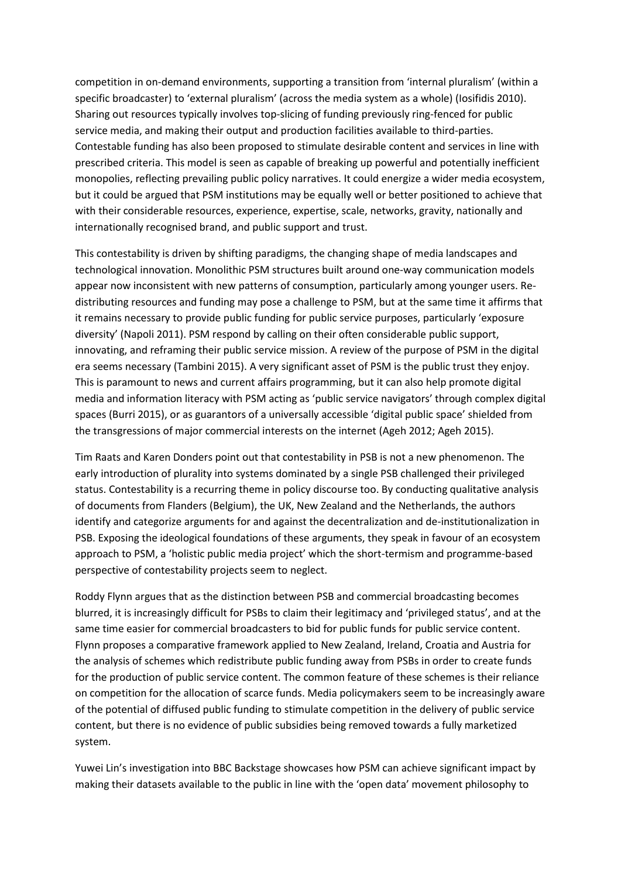competition in on-demand environments, supporting a transition from 'internal pluralism' (within a specific broadcaster) to 'external pluralism' (across the media system as a whole) (Iosifidis 2010). Sharing out resources typically involves top-slicing of funding previously ring-fenced for public service media, and making their output and production facilities available to third-parties. Contestable funding has also been proposed to stimulate desirable content and services in line with prescribed criteria. This model is seen as capable of breaking up powerful and potentially inefficient monopolies, reflecting prevailing public policy narratives. It could energize a wider media ecosystem, but it could be argued that PSM institutions may be equally well or better positioned to achieve that with their considerable resources, experience, expertise, scale, networks, gravity, nationally and internationally recognised brand, and public support and trust.

This contestability is driven by shifting paradigms, the changing shape of media landscapes and technological innovation. Monolithic PSM structures built around one-way communication models appear now inconsistent with new patterns of consumption, particularly among younger users. Redistributing resources and funding may pose a challenge to PSM, but at the same time it affirms that it remains necessary to provide public funding for public service purposes, particularly 'exposure diversity' (Napoli 2011). PSM respond by calling on their often considerable public support, innovating, and reframing their public service mission. A review of the purpose of PSM in the digital era seems necessary (Tambini 2015). A very significant asset of PSM is the public trust they enjoy. This is paramount to news and current affairs programming, but it can also help promote digital media and information literacy with PSM acting as 'public service navigators' through complex digital spaces (Burri 2015), or as guarantors of a universally accessible 'digital public space' shielded from the transgressions of major commercial interests on the internet (Ageh 2012; Ageh 2015).

Tim Raats and Karen Donders point out that contestability in PSB is not a new phenomenon. The early introduction of plurality into systems dominated by a single PSB challenged their privileged status. Contestability is a recurring theme in policy discourse too. By conducting qualitative analysis of documents from Flanders (Belgium), the UK, New Zealand and the Netherlands, the authors identify and categorize arguments for and against the decentralization and de-institutionalization in PSB. Exposing the ideological foundations of these arguments, they speak in favour of an ecosystem approach to PSM, a 'holistic public media project' which the short-termism and programme-based perspective of contestability projects seem to neglect.

Roddy Flynn argues that as the distinction between PSB and commercial broadcasting becomes blurred, it is increasingly difficult for PSBs to claim their legitimacy and 'privileged status', and at the same time easier for commercial broadcasters to bid for public funds for public service content. Flynn proposes a comparative framework applied to New Zealand, Ireland, Croatia and Austria for the analysis of schemes which redistribute public funding away from PSBs in order to create funds for the production of public service content. The common feature of these schemes is their reliance on competition for the allocation of scarce funds. Media policymakers seem to be increasingly aware of the potential of diffused public funding to stimulate competition in the delivery of public service content, but there is no evidence of public subsidies being removed towards a fully marketized system.

Yuwei Lin's investigation into BBC Backstage showcases how PSM can achieve significant impact by making their datasets available to the public in line with the 'open data' movement philosophy to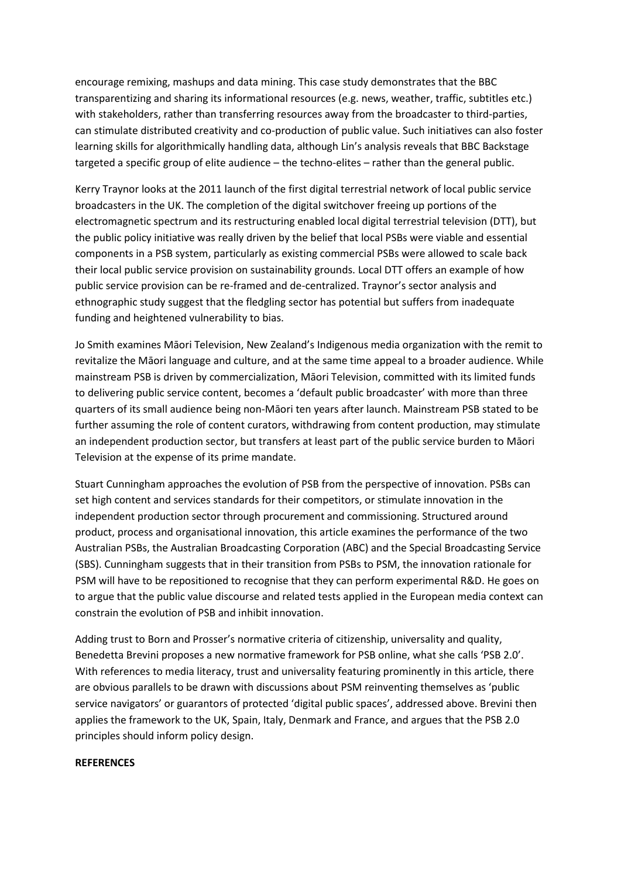encourage remixing, mashups and data mining. This case study demonstrates that the BBC transparentizing and sharing its informational resources (e.g. news, weather, traffic, subtitles etc.) with stakeholders, rather than transferring resources away from the broadcaster to third-parties, can stimulate distributed creativity and co-production of public value. Such initiatives can also foster learning skills for algorithmically handling data, although Lin's analysis reveals that BBC Backstage targeted a specific group of elite audience – the techno-elites – rather than the general public.

Kerry Traynor looks at the 2011 launch of the first digital terrestrial network of local public service broadcasters in the UK. The completion of the digital switchover freeing up portions of the electromagnetic spectrum and its restructuring enabled local digital terrestrial television (DTT), but the public policy initiative was really driven by the belief that local PSBs were viable and essential components in a PSB system, particularly as existing commercial PSBs were allowed to scale back their local public service provision on sustainability grounds. Local DTT offers an example of how public service provision can be re-framed and de-centralized. Traynor's sector analysis and ethnographic study suggest that the fledgling sector has potential but suffers from inadequate funding and heightened vulnerability to bias.

Jo Smith examines Māori Television, New Zealand's Indigenous media organization with the remit to revitalize the Māori language and culture, and at the same time appeal to a broader audience. While mainstream PSB is driven by commercialization, Māori Television, committed with its limited funds to delivering public service content, becomes a 'default public broadcaster' with more than three quarters of its small audience being non-Māori ten years after launch. Mainstream PSB stated to be further assuming the role of content curators, withdrawing from content production, may stimulate an independent production sector, but transfers at least part of the public service burden to Māori Television at the expense of its prime mandate.

Stuart Cunningham approaches the evolution of PSB from the perspective of innovation. PSBs can set high content and services standards for their competitors, or stimulate innovation in the independent production sector through procurement and commissioning. Structured around product, process and organisational innovation, this article examines the performance of the two Australian PSBs, the Australian Broadcasting Corporation (ABC) and the Special Broadcasting Service (SBS). Cunningham suggests that in their transition from PSBs to PSM, the innovation rationale for PSM will have to be repositioned to recognise that they can perform experimental R&D. He goes on to argue that the public value discourse and related tests applied in the European media context can constrain the evolution of PSB and inhibit innovation.

Adding trust to Born and Prosser's normative criteria of citizenship, universality and quality, Benedetta Brevini proposes a new normative framework for PSB online, what she calls 'PSB 2.0'. With references to media literacy, trust and universality featuring prominently in this article, there are obvious parallels to be drawn with discussions about PSM reinventing themselves as 'public service navigators' or guarantors of protected 'digital public spaces', addressed above. Brevini then applies the framework to the UK, Spain, Italy, Denmark and France, and argues that the PSB 2.0 principles should inform policy design.

## **REFERENCES**